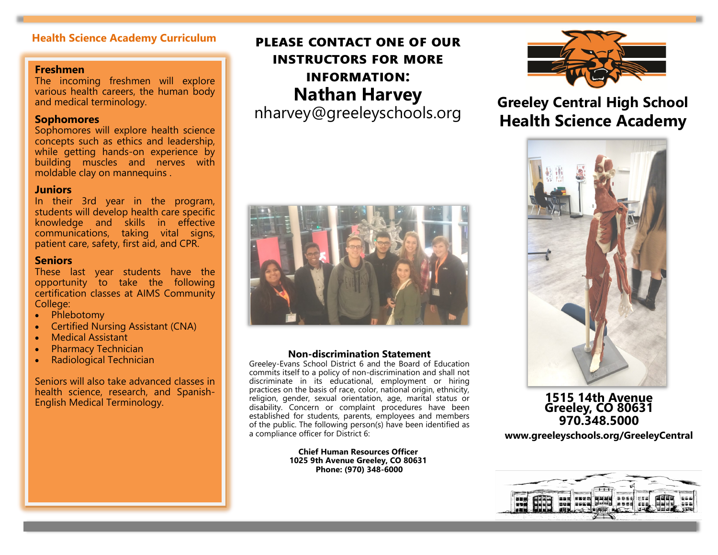# **Freshmen**

The incoming freshmen will explore various health careers, the human body and medical terminology.

## **Sophomores**

Sophomores will explore health science concepts such as ethics and leadership, while getting hands-on experience by building muscles and nerves with moldable clay on mannequins .

# **Juniors**

In their 3rd year in the program, students will develop health care specific knowledge and skills in effective communications, taking vital signs, patient care, safety, first aid, and CPR.

### **Seniors**

These last year students have the opportunity to take the following certification classes at AIMS Community College:

- Phlebotomy
- Certified Nursing Assistant (CNA)
- Medical Assistant
- Pharmacy Technician
- Radiological Technician

Seniors will also take advanced classes in health science, research, and Spanish-English Medical Terminology.

# **Health Science Academy Curriculum PLEASE CONTACT ONE OF OUR instructors for more information: Nathan Harvey**

nharvey@greeleyschools.org



#### **Non-[discrimination Statement](http://central.greeleyschools.org/site/default.aspx?PageType=3&DomainID=28&ModuleInstanceID=16478&ViewID=047E6BE3-6D87-4130-8424-D8E4E9ED6C2A&RenderLoc=0&FlexDataID=26184&PageID=49)**

Greeley-Evans School District 6 and the Board of Education commits itself to a policy of non-discrimination and shall not discriminate in its educational, employment or hiring practices on the basis of race, color, national origin, ethnicity, religion, gender, sexual orientation, age, marital status or disability. Concern or complaint procedures have been established for students, parents, employees and members of the public. The following person(s) have been identified as a compliance officer for District 6:

> **Chief Human Resources Officer 1025 9th Avenue Greeley, CO 80631 Phone: (970) 348-6000**



**Greeley Central High School Health Science Academy**



# **1515 14th Avenue Greeley, CO 80631 970.348.5000**

**www.greeleyschools.org/GreeleyCentral**